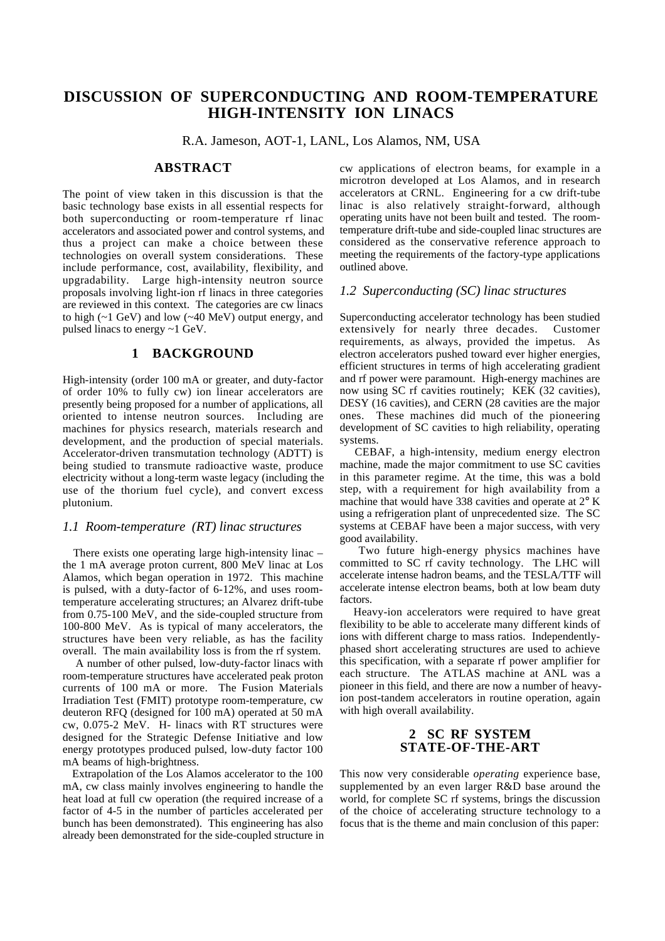# **DISCUSSION OF SUPERCONDUCTING AND ROOM-TEMPERATURE HIGH-INTENSITY ION LINACS**

R.A. Jameson, AOT-1, LANL, Los Alamos, NM, USA

## **ABSTRACT**

The point of view taken in this discussion is that the basic technology base exists in all essential respects for both superconducting or room-temperature rf linac accelerators and associated power and control systems, and thus a project can make a choice between these technologies on overall system considerations. These include performance, cost, availability, flexibility, and upgradability. Large high-intensity neutron source proposals involving light-ion rf linacs in three categories are reviewed in this context. The categories are cw linacs to high  $(-1 \text{ GeV})$  and low  $(-40 \text{ MeV})$  output energy, and pulsed linacs to energy ~1 GeV.

## **1 BACKGROUND**

High-intensity (order 100 mA or greater, and duty-factor of order 10% to fully cw) ion linear accelerators are presently being proposed for a number of applications, all oriented to intense neutron sources. Including are machines for physics research, materials research and development, and the production of special materials. Accelerator-driven transmutation technology (ADTT) is being studied to transmute radioactive waste, produce electricity without a long-term waste legacy (including the use of the thorium fuel cycle), and convert excess plutonium.

#### *1.1 Room-temperature (RT) linac structures*

 There exists one operating large high-intensity linac – the 1 mA average proton current, 800 MeV linac at Los Alamos, which began operation in 1972. This machine is pulsed, with a duty-factor of 6-12%, and uses roomtemperature accelerating structures; an Alvarez drift-tube from 0.75-100 MeV, and the side-coupled structure from 100-800 MeV. As is typical of many accelerators, the structures have been very reliable, as has the facility overall. The main availability loss is from the rf system.

 A number of other pulsed, low-duty-factor linacs with room-temperature structures have accelerated peak proton currents of 100 mA or more. The Fusion Materials Irradiation Test (FMIT) prototype room-temperature, cw deuteron RFQ (designed for 100 mA) operated at 50 mA cw, 0.075-2 MeV. H- linacs with RT structures were designed for the Strategic Defense Initiative and low energy prototypes produced pulsed, low-duty factor 100 mA beams of high-brightness.

 Extrapolation of the Los Alamos accelerator to the 100 mA, cw class mainly involves engineering to handle the heat load at full cw operation (the required increase of a factor of 4-5 in the number of particles accelerated per bunch has been demonstrated). This engineering has also already been demonstrated for the side-coupled structure in cw applications of electron beams, for example in a microtron developed at Los Alamos, and in research accelerators at CRNL. Engineering for a cw drift-tube linac is also relatively straight-forward, although operating units have not been built and tested. The roomtemperature drift-tube and side-coupled linac structures are considered as the conservative reference approach to meeting the requirements of the factory-type applications outlined above.

#### *1.2 Superconducting (SC) linac structures*

Superconducting accelerator technology has been studied extensively for nearly three decades. Customer requirements, as always, provided the impetus. As electron accelerators pushed toward ever higher energies, efficient structures in terms of high accelerating gradient and rf power were paramount. High-energy machines are now using SC rf cavities routinely; KEK (32 cavities), DESY (16 cavities), and CERN (28 cavities are the major ones. These machines did much of the pioneering development of SC cavities to high reliability, operating systems.

 CEBAF, a high-intensity, medium energy electron machine, made the major commitment to use SC cavities in this parameter regime. At the time, this was a bold step, with a requirement for high availability from a machine that would have 338 cavities and operate at 2° K using a refrigeration plant of unprecedented size. The SC systems at CEBAF have been a major success, with very good availability.

 Two future high-energy physics machines have committed to SC rf cavity technology. The LHC will accelerate intense hadron beams, and the TESLA/TTF will accelerate intense electron beams, both at low beam duty factors.

 Heavy-ion accelerators were required to have great flexibility to be able to accelerate many different kinds of ions with different charge to mass ratios. Independentlyphased short accelerating structures are used to achieve this specification, with a separate rf power amplifier for each structure. The ATLAS machine at ANL was a pioneer in this field, and there are now a number of heavyion post-tandem accelerators in routine operation, again with high overall availability.

## **2 SC RF SYSTEM STATE-OF-THE-ART**

This now very considerable *operating* experience base, supplemented by an even larger R&D base around the world, for complete SC rf systems, brings the discussion of the choice of accelerating structure technology to a focus that is the theme and main conclusion of this paper: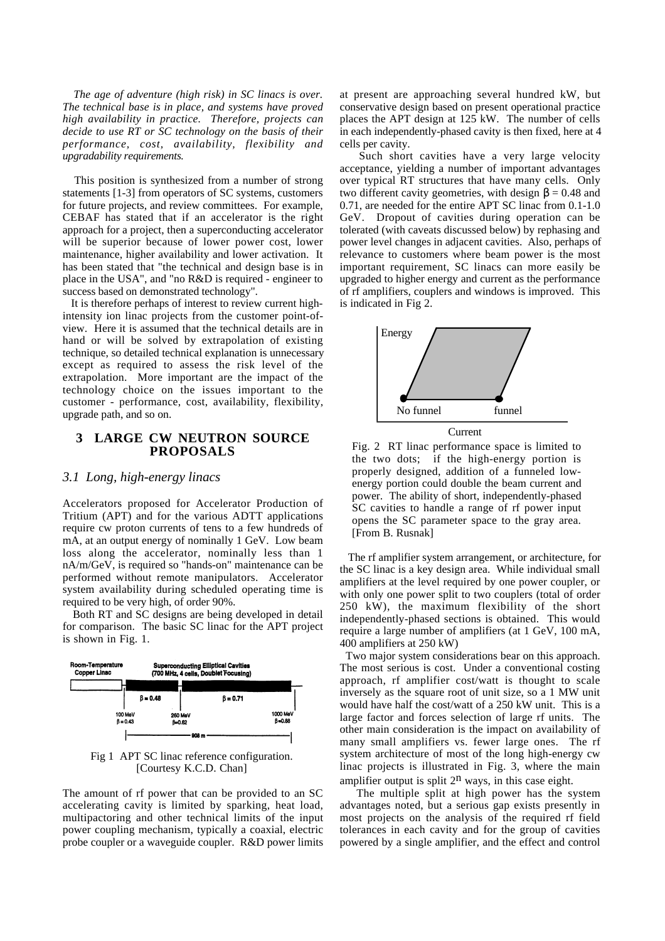*The age of adventure (high risk) in SC linacs is over. The technical base is in place, and systems have proved high availability in practice. Therefore, projects can decide to use RT or SC technology on the basis of their performance, cost, availability, flexibility and upgradability requirements.*

 This position is synthesized from a number of strong statements [1-3] from operators of SC systems, customers for future projects, and review committees. For example, CEBAF has stated that if an accelerator is the right approach for a project, then a superconducting accelerator will be superior because of lower power cost, lower maintenance, higher availability and lower activation. It has been stated that "the technical and design base is in place in the USA", and "no R&D is required - engineer to success based on demonstrated technology".

 It is therefore perhaps of interest to review current highintensity ion linac projects from the customer point-ofview. Here it is assumed that the technical details are in hand or will be solved by extrapolation of existing technique, so detailed technical explanation is unnecessary except as required to assess the risk level of the extrapolation. More important are the impact of the technology choice on the issues important to the customer - performance, cost, availability, flexibility, upgrade path, and so on.

#### **3 LARGE CW NEUTRON SOURCE PROPOSALS**

#### *3.1 Long, high-energy linacs*

Accelerators proposed for Accelerator Production of Tritium (APT) and for the various ADTT applications require cw proton currents of tens to a few hundreds of mA, at an output energy of nominally 1 GeV. Low beam loss along the accelerator, nominally less than 1 nA/m/GeV, is required so "hands-on" maintenance can be performed without remote manipulators. Accelerator system availability during scheduled operating time is required to be very high, of order 90%.

 Both RT and SC designs are being developed in detail for comparison. The basic SC linac for the APT project is shown in Fig. 1.



Fig 1 APT SC linac reference configuration. [Courtesy K.C.D. Chan]

The amount of rf power that can be provided to an SC accelerating cavity is limited by sparking, heat load, multipactoring and other technical limits of the input power coupling mechanism, typically a coaxial, electric probe coupler or a waveguide coupler. R&D power limits at present are approaching several hundred kW, but conservative design based on present operational practice places the APT design at 125 kW. The number of cells in each independently-phased cavity is then fixed, here at 4 cells per cavity.

 Such short cavities have a very large velocity acceptance, yielding a number of important advantages over typical RT structures that have many cells. Only two different cavity geometries, with design  $\beta = 0.48$  and 0.71, are needed for the entire APT SC linac from 0.1-1.0 GeV. Dropout of cavities during operation can be tolerated (with caveats discussed below) by rephasing and power level changes in adjacent cavities. Also, perhaps of relevance to customers where beam power is the most important requirement, SC linacs can more easily be upgraded to higher energy and current as the performance of rf amplifiers, couplers and windows is improved. This is indicated in Fig 2.



Current

Fig. 2 RT linac performance space is limited to the two dots; if the high-energy portion is properly designed, addition of a funneled lowenergy portion could double the beam current and power. The ability of short, independently-phased SC cavities to handle a range of rf power input opens the SC parameter space to the gray area. [From B. Rusnak]

 The rf amplifier system arrangement, or architecture, for the SC linac is a key design area. While individual small amplifiers at the level required by one power coupler, or with only one power split to two couplers (total of order 250 kW), the maximum flexibility of the short independently-phased sections is obtained. This would require a large number of amplifiers (at 1 GeV, 100 mA, 400 amplifiers at 250 kW)

 Two major system considerations bear on this approach. The most serious is cost. Under a conventional costing approach, rf amplifier cost/watt is thought to scale inversely as the square root of unit size, so a 1 MW unit would have half the cost/watt of a 250 kW unit. This is a large factor and forces selection of large rf units. The other main consideration is the impact on availability of many small amplifiers vs. fewer large ones. The rf system architecture of most of the long high-energy cw linac projects is illustrated in Fig. 3, where the main amplifier output is split  $2^n$  ways, in this case eight.

 The multiple split at high power has the system advantages noted, but a serious gap exists presently in most projects on the analysis of the required rf field tolerances in each cavity and for the group of cavities powered by a single amplifier, and the effect and control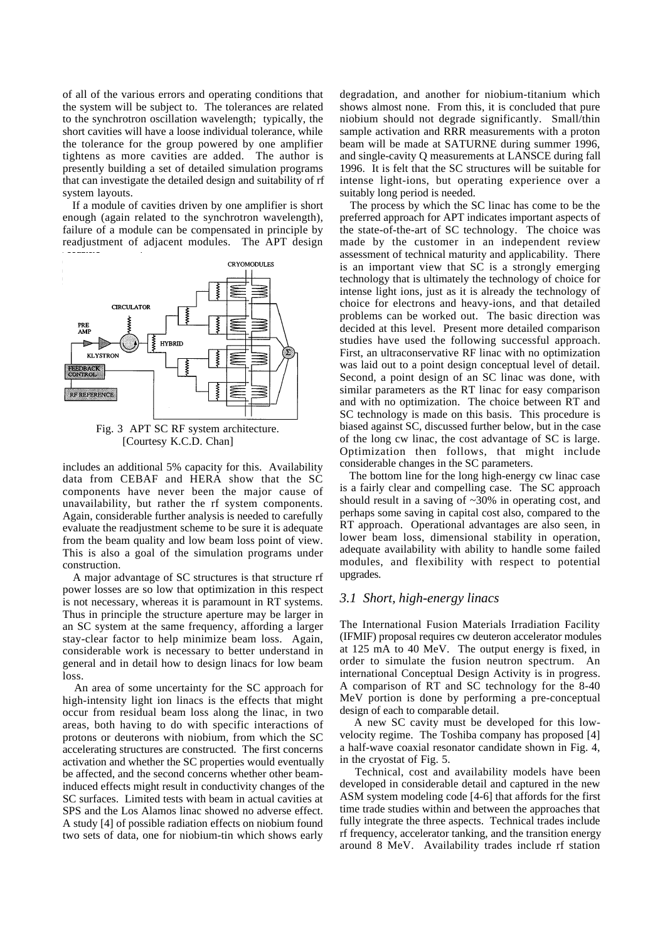of all of the various errors and operating conditions that the system will be subject to. The tolerances are related to the synchrotron oscillation wavelength; typically, the short cavities will have a loose individual tolerance, while the tolerance for the group powered by one amplifier tightens as more cavities are added. The author is presently building a set of detailed simulation programs that can investigate the detailed design and suitability of rf system layouts.

 If a module of cavities driven by one amplifier is short enough (again related to the synchrotron wavelength), failure of a module can be compensated in principle by readjustment of adjacent modules. The APT design



[Courtesy K.C.D. Chan]

includes an additional 5% capacity for this. Availability data from CEBAF and HERA show that the SC components have never been the major cause of unavailability, but rather the rf system components. Again, considerable further analysis is needed to carefully evaluate the readjustment scheme to be sure it is adequate from the beam quality and low beam loss point of view. This is also a goal of the simulation programs under construction.

 A major advantage of SC structures is that structure rf power losses are so low that optimization in this respect is not necessary, whereas it is paramount in RT systems. Thus in principle the structure aperture may be larger in an SC system at the same frequency, affording a larger stay-clear factor to help minimize beam loss. Again, considerable work is necessary to better understand in general and in detail how to design linacs for low beam loss.

 An area of some uncertainty for the SC approach for high-intensity light ion linacs is the effects that might occur from residual beam loss along the linac, in two areas, both having to do with specific interactions of protons or deuterons with niobium, from which the SC accelerating structures are constructed. The first concerns activation and whether the SC properties would eventually be affected, and the second concerns whether other beaminduced effects might result in conductivity changes of the SC surfaces. Limited tests with beam in actual cavities at SPS and the Los Alamos linac showed no adverse effect. A study [4] of possible radiation effects on niobium found two sets of data, one for niobium-tin which shows early

degradation, and another for niobium-titanium which shows almost none. From this, it is concluded that pure niobium should not degrade significantly. Small/thin sample activation and RRR measurements with a proton beam will be made at SATURNE during summer 1996, and single-cavity Q measurements at LANSCE during fall 1996. It is felt that the SC structures will be suitable for intense light-ions, but operating experience over a suitably long period is needed.

 The process by which the SC linac has come to be the preferred approach for APT indicates important aspects of the state-of-the-art of SC technology. The choice was made by the customer in an independent review assessment of technical maturity and applicability. There is an important view that SC is a strongly emerging technology that is ultimately the technology of choice for intense light ions, just as it is already the technology of choice for electrons and heavy-ions, and that detailed problems can be worked out. The basic direction was decided at this level. Present more detailed comparison studies have used the following successful approach. First, an ultraconservative RF linac with no optimization was laid out to a point design conceptual level of detail. Second, a point design of an SC linac was done, with similar parameters as the RT linac for easy comparison and with no optimization. The choice between RT and SC technology is made on this basis. This procedure is biased against SC, discussed further below, but in the case of the long cw linac, the cost advantage of SC is large. Optimization then follows, that might include considerable changes in the SC parameters.

 The bottom line for the long high-energy cw linac case is a fairly clear and compelling case. The SC approach should result in a saving of ~30% in operating cost, and perhaps some saving in capital cost also, compared to the RT approach. Operational advantages are also seen, in lower beam loss, dimensional stability in operation, adequate availability with ability to handle some failed modules, and flexibility with respect to potential upgrades.

#### *3.1 Short, high-energy linacs*

The International Fusion Materials Irradiation Facility (IFMIF) proposal requires cw deuteron accelerator modules at 125 mA to 40 MeV. The output energy is fixed, in order to simulate the fusion neutron spectrum. An international Conceptual Design Activity is in progress. A comparison of RT and SC technology for the 8-40 MeV portion is done by performing a pre-conceptual design of each to comparable detail.

 A new SC cavity must be developed for this lowvelocity regime. The Toshiba company has proposed [4] a half-wave coaxial resonator candidate shown in Fig. 4, in the cryostat of Fig. 5.

 Technical, cost and availability models have been developed in considerable detail and captured in the new ASM system modeling code [4-6] that affords for the first time trade studies within and between the approaches that fully integrate the three aspects. Technical trades include rf frequency, accelerator tanking, and the transition energy around 8 MeV. Availability trades include rf station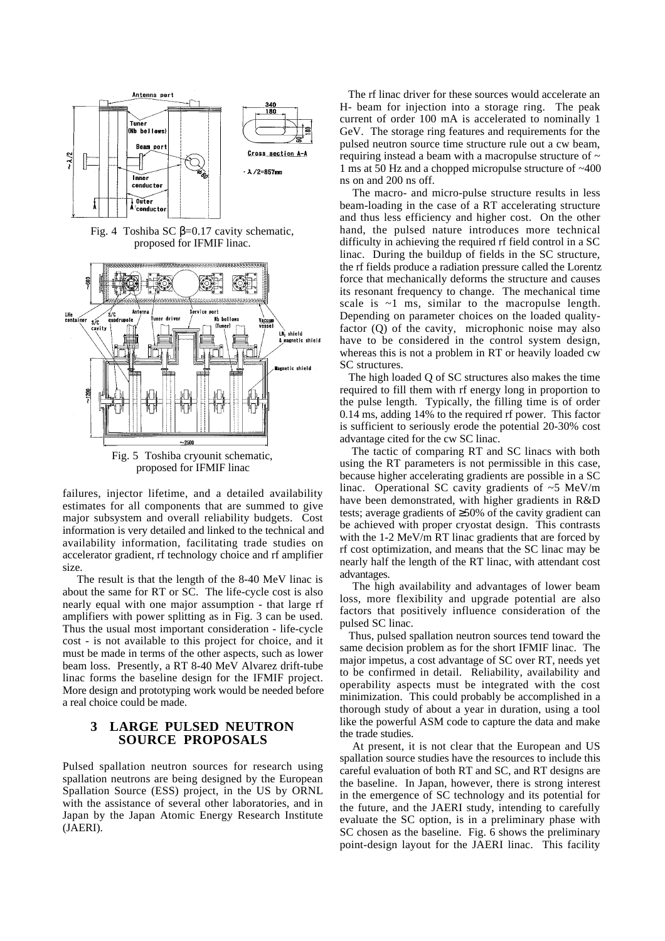

Fig. 4 Toshiba SC  $β=0.17$  cavity schematic, proposed for IFMIF linac.



proposed for IFMIF linac

failures, injector lifetime, and a detailed availability estimates for all components that are summed to give major subsystem and overall reliability budgets. Cost information is very detailed and linked to the technical and availability information, facilitating trade studies on accelerator gradient, rf technology choice and rf amplifier size.

 The result is that the length of the 8-40 MeV linac is about the same for RT or SC. The life-cycle cost is also nearly equal with one major assumption - that large rf amplifiers with power splitting as in Fig. 3 can be used. Thus the usual most important consideration - life-cycle cost - is not available to this project for choice, and it must be made in terms of the other aspects, such as lower beam loss. Presently, a RT 8-40 MeV Alvarez drift-tube linac forms the baseline design for the IFMIF project. More design and prototyping work would be needed before a real choice could be made.

## **3 LARGE PULSED NEUTRON SOURCE PROPOSALS**

Pulsed spallation neutron sources for research using spallation neutrons are being designed by the European Spallation Source (ESS) project, in the US by ORNL with the assistance of several other laboratories, and in Japan by the Japan Atomic Energy Research Institute (JAERI).

 The rf linac driver for these sources would accelerate an H- beam for injection into a storage ring. The peak current of order 100 mA is accelerated to nominally 1 GeV. The storage ring features and requirements for the pulsed neutron source time structure rule out a cw beam, requiring instead a beam with a macropulse structure of  $\sim$ 1 ms at 50 Hz and a chopped micropulse structure of ~400 ns on and 200 ns off.

 The macro- and micro-pulse structure results in less beam-loading in the case of a RT accelerating structure and thus less efficiency and higher cost. On the other hand, the pulsed nature introduces more technical difficulty in achieving the required rf field control in a SC linac. During the buildup of fields in the SC structure, the rf fields produce a radiation pressure called the Lorentz force that mechanically deforms the structure and causes its resonant frequency to change. The mechanical time scale is  $\sim$ 1 ms, similar to the macropulse length. Depending on parameter choices on the loaded qualityfactor (Q) of the cavity, microphonic noise may also have to be considered in the control system design, whereas this is not a problem in RT or heavily loaded cw SC structures.

 The high loaded Q of SC structures also makes the time required to fill them with rf energy long in proportion to the pulse length. Typically, the filling time is of order 0.14 ms, adding 14% to the required rf power. This factor is sufficient to seriously erode the potential 20-30% cost advantage cited for the cw SC linac.

 The tactic of comparing RT and SC linacs with both using the RT parameters is not permissible in this case, because higher accelerating gradients are possible in a SC linac. Operational SC cavity gradients of  $\sim$ 5 MeV/m have been demonstrated, with higher gradients in R&D tests; average gradients of ≥50% of the cavity gradient can be achieved with proper cryostat design. This contrasts with the 1-2 MeV/m RT linac gradients that are forced by rf cost optimization, and means that the SC linac may be nearly half the length of the RT linac, with attendant cost advantages.

 The high availability and advantages of lower beam loss, more flexibility and upgrade potential are also factors that positively influence consideration of the pulsed SC linac.

 Thus, pulsed spallation neutron sources tend toward the same decision problem as for the short IFMIF linac. The major impetus, a cost advantage of SC over RT, needs yet to be confirmed in detail. Reliability, availability and operability aspects must be integrated with the cost minimization. This could probably be accomplished in a thorough study of about a year in duration, using a tool like the powerful ASM code to capture the data and make the trade studies.

 At present, it is not clear that the European and US spallation source studies have the resources to include this careful evaluation of both RT and SC, and RT designs are the baseline. In Japan, however, there is strong interest in the emergence of SC technology and its potential for the future, and the JAERI study, intending to carefully evaluate the SC option, is in a preliminary phase with SC chosen as the baseline. Fig. 6 shows the preliminary point-design layout for the JAERI linac. This facility